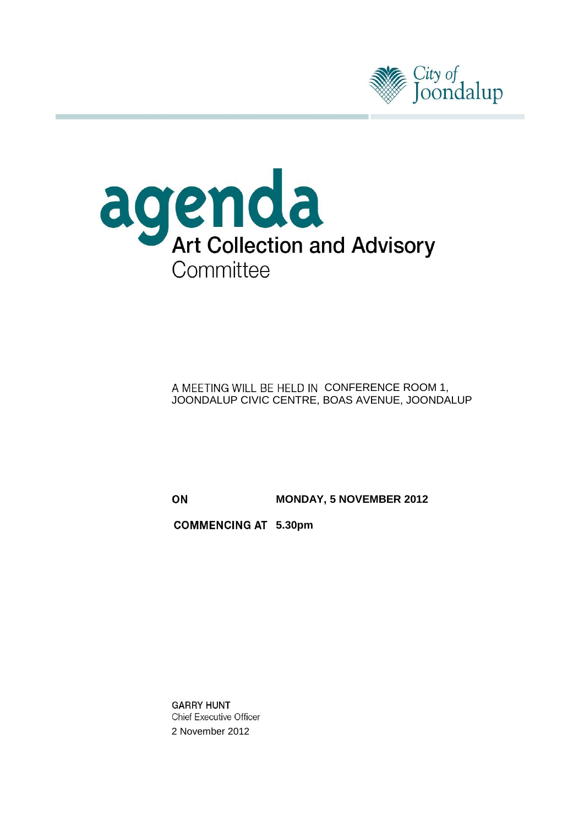



A MEETING WILL BE HELD IN CONFERENCE ROOM 1, JOONDALUP CIVIC CENTRE, BOAS AVENUE, JOONDALUP

ON **MONDAY, 5 NOVEMBER 2012**

**5.30pm**

**GARRY HUNT Chief Executive Officer** 2 November 2012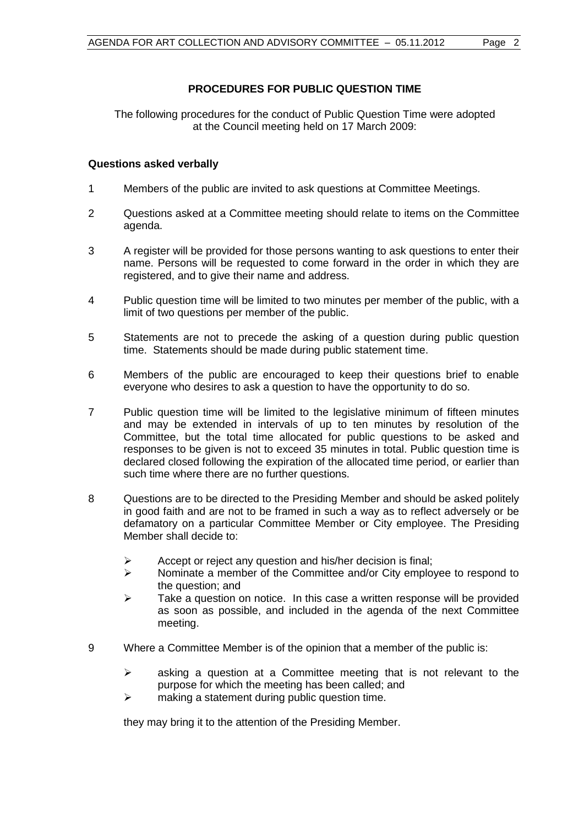# **PROCEDURES FOR PUBLIC QUESTION TIME**

The following procedures for the conduct of Public Question Time were adopted at the Council meeting held on 17 March 2009:

# **Questions asked verbally**

- 1 Members of the public are invited to ask questions at Committee Meetings.
- 2 Questions asked at a Committee meeting should relate to items on the Committee agenda.
- 3 A register will be provided for those persons wanting to ask questions to enter their name. Persons will be requested to come forward in the order in which they are registered, and to give their name and address.
- 4 Public question time will be limited to two minutes per member of the public, with a limit of two questions per member of the public.
- 5 Statements are not to precede the asking of a question during public question time. Statements should be made during public statement time.
- 6 Members of the public are encouraged to keep their questions brief to enable everyone who desires to ask a question to have the opportunity to do so.
- 7 Public question time will be limited to the legislative minimum of fifteen minutes and may be extended in intervals of up to ten minutes by resolution of the Committee, but the total time allocated for public questions to be asked and responses to be given is not to exceed 35 minutes in total. Public question time is declared closed following the expiration of the allocated time period, or earlier than such time where there are no further questions.
- 8 Questions are to be directed to the Presiding Member and should be asked politely in good faith and are not to be framed in such a way as to reflect adversely or be defamatory on a particular Committee Member or City employee. The Presiding Member shall decide to:
	- $\triangleright$  Accept or reject any question and his/her decision is final;
	- $\triangleright$  Nominate a member of the Committee and/or City employee to respond to the question; and
	- $\geq$  Take a question on notice. In this case a written response will be provided as soon as possible, and included in the agenda of the next Committee meeting.
- 9 Where a Committee Member is of the opinion that a member of the public is:
	- $\triangleright$  asking a question at a Committee meeting that is not relevant to the purpose for which the meeting has been called; and
	- $\triangleright$  making a statement during public question time.

they may bring it to the attention of the Presiding Member.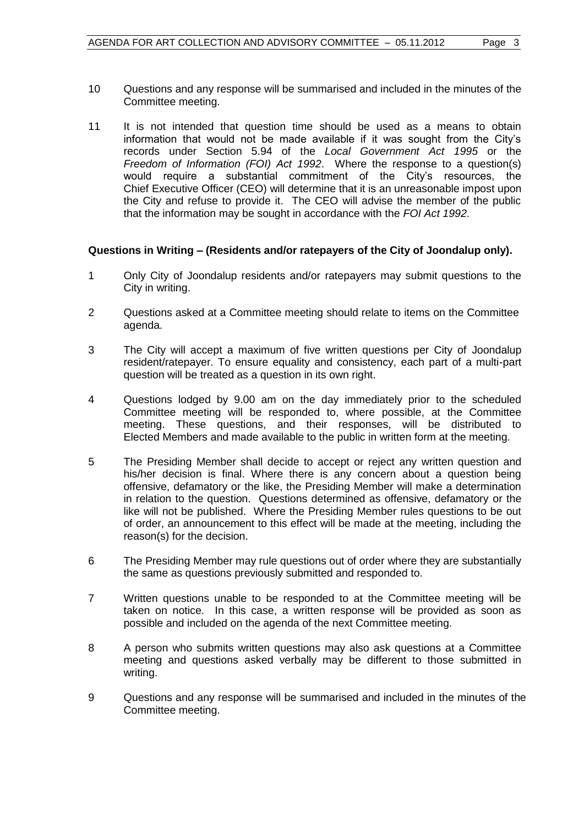- 10 Questions and any response will be summarised and included in the minutes of the Committee meeting.
- 11 It is not intended that question time should be used as a means to obtain information that would not be made available if it was sought from the City's records under Section 5.94 of the *Local Government Act 1995* or the *Freedom of Information (FOI) Act 1992*. Where the response to a question(s) would require a substantial commitment of the City's resources, the Chief Executive Officer (CEO) will determine that it is an unreasonable impost upon the City and refuse to provide it. The CEO will advise the member of the public that the information may be sought in accordance with the *FOI Act 1992*.

# **Questions in Writing – (Residents and/or ratepayers of the City of Joondalup only).**

- 1 Only City of Joondalup residents and/or ratepayers may submit questions to the City in writing.
- 2 Questions asked at a Committee meeting should relate to items on the Committee agenda.
- 3 The City will accept a maximum of five written questions per City of Joondalup resident/ratepayer. To ensure equality and consistency, each part of a multi-part question will be treated as a question in its own right.
- 4 Questions lodged by 9.00 am on the day immediately prior to the scheduled Committee meeting will be responded to, where possible, at the Committee meeting. These questions, and their responses, will be distributed to Elected Members and made available to the public in written form at the meeting.
- 5 The Presiding Member shall decide to accept or reject any written question and his/her decision is final. Where there is any concern about a question being offensive, defamatory or the like, the Presiding Member will make a determination in relation to the question. Questions determined as offensive, defamatory or the like will not be published. Where the Presiding Member rules questions to be out of order, an announcement to this effect will be made at the meeting, including the reason(s) for the decision.
- 6 The Presiding Member may rule questions out of order where they are substantially the same as questions previously submitted and responded to.
- 7 Written questions unable to be responded to at the Committee meeting will be taken on notice. In this case, a written response will be provided as soon as possible and included on the agenda of the next Committee meeting.
- 8 A person who submits written questions may also ask questions at a Committee meeting and questions asked verbally may be different to those submitted in writing.
- 9 Questions and any response will be summarised and included in the minutes of the Committee meeting.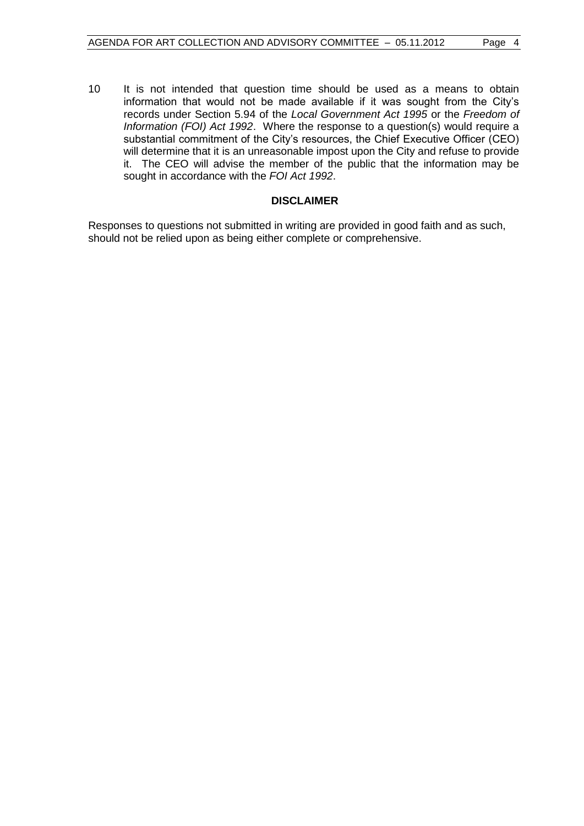10 It is not intended that question time should be used as a means to obtain information that would not be made available if it was sought from the City's records under Section 5.94 of the *Local Government Act 1995* or the *Freedom of Information (FOI) Act 1992*. Where the response to a question(s) would require a substantial commitment of the City's resources, the Chief Executive Officer (CEO) will determine that it is an unreasonable impost upon the City and refuse to provide it. The CEO will advise the member of the public that the information may be sought in accordance with the *FOI Act 1992*.

# **DISCLAIMER**

Responses to questions not submitted in writing are provided in good faith and as such, should not be relied upon as being either complete or comprehensive.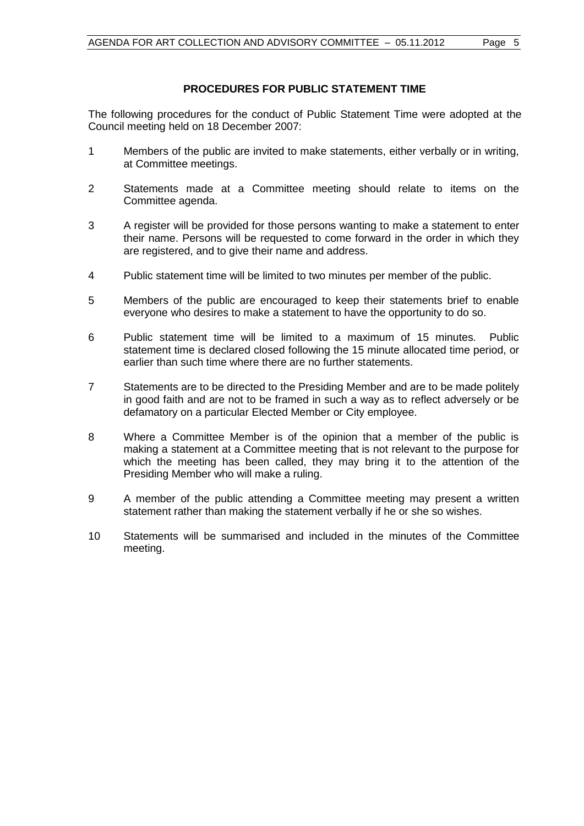# **PROCEDURES FOR PUBLIC STATEMENT TIME**

The following procedures for the conduct of Public Statement Time were adopted at the Council meeting held on 18 December 2007:

- 1 Members of the public are invited to make statements, either verbally or in writing, at Committee meetings.
- 2 Statements made at a Committee meeting should relate to items on the Committee agenda.
- 3 A register will be provided for those persons wanting to make a statement to enter their name. Persons will be requested to come forward in the order in which they are registered, and to give their name and address.
- 4 Public statement time will be limited to two minutes per member of the public.
- 5 Members of the public are encouraged to keep their statements brief to enable everyone who desires to make a statement to have the opportunity to do so.
- 6 Public statement time will be limited to a maximum of 15 minutes. Public statement time is declared closed following the 15 minute allocated time period, or earlier than such time where there are no further statements.
- 7 Statements are to be directed to the Presiding Member and are to be made politely in good faith and are not to be framed in such a way as to reflect adversely or be defamatory on a particular Elected Member or City employee.
- 8 Where a Committee Member is of the opinion that a member of the public is making a statement at a Committee meeting that is not relevant to the purpose for which the meeting has been called, they may bring it to the attention of the Presiding Member who will make a ruling.
- 9 A member of the public attending a Committee meeting may present a written statement rather than making the statement verbally if he or she so wishes.
- 10 Statements will be summarised and included in the minutes of the Committee meeting.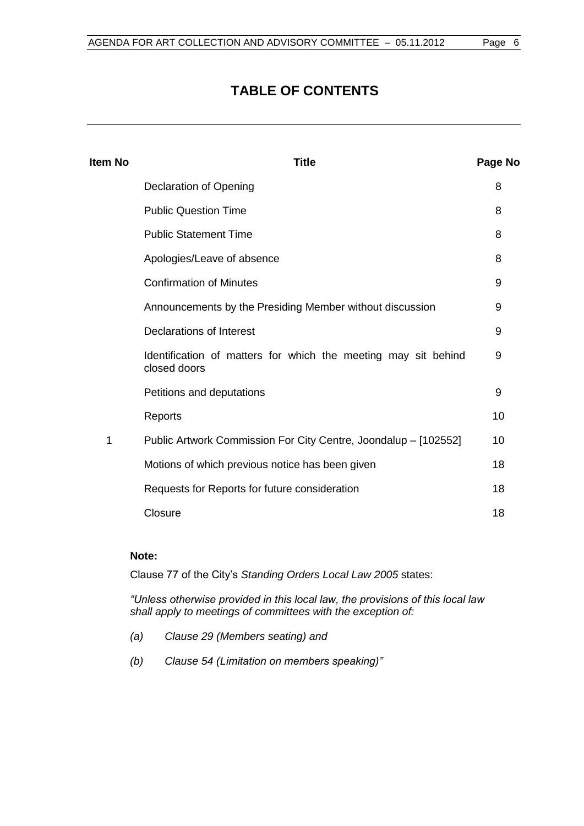# **TABLE OF CONTENTS**

| <b>Item No</b> | <b>Title</b>                                                                   | Page No |
|----------------|--------------------------------------------------------------------------------|---------|
|                | <b>Declaration of Opening</b>                                                  | 8       |
|                | <b>Public Question Time</b>                                                    | 8       |
|                | <b>Public Statement Time</b>                                                   | 8       |
|                | Apologies/Leave of absence                                                     | 8       |
|                | <b>Confirmation of Minutes</b>                                                 | 9       |
|                | Announcements by the Presiding Member without discussion                       | 9       |
|                | Declarations of Interest                                                       | 9       |
|                | Identification of matters for which the meeting may sit behind<br>closed doors | 9       |
|                | Petitions and deputations                                                      | 9       |
|                | Reports                                                                        | 10      |
| 1              | Public Artwork Commission For City Centre, Joondalup - [102552]                | 10      |
|                | Motions of which previous notice has been given                                | 18      |
|                | Requests for Reports for future consideration                                  | 18      |
|                | Closure                                                                        | 18      |

# **Note:**

Clause 77 of the City's *Standing Orders Local Law 2005* states:

*"Unless otherwise provided in this local law, the provisions of this local law shall apply to meetings of committees with the exception of:*

- *(a) Clause 29 (Members seating) and*
- *(b) Clause 54 (Limitation on members speaking)"*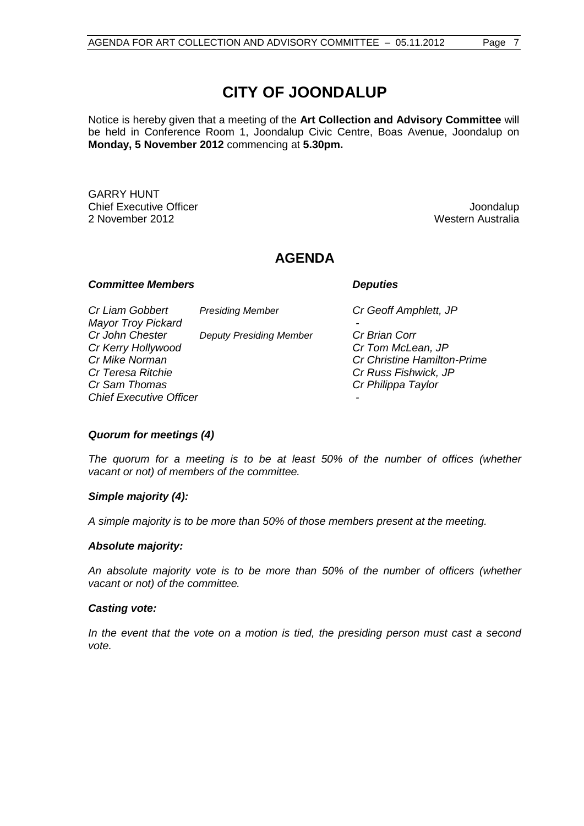Notice is hereby given that a meeting of the **Art Collection and Advisory Committee** will be held in Conference Room 1, Joondalup Civic Centre, Boas Avenue, Joondalup on **Monday, 5 November 2012** commencing at **5.30pm.**

GARRY HUNT **Chief Executive Officer Joseph According to the Chief Executive Officer Joseph According to the Chief According to the Chief According to the Chief According to the Chief According to the Chief According to the Chief Acco** 2 November 2012 **Western Australia** 2 November 2012

# **AGENDA**

#### *Committee Members Deputies*

*Cr Liam Gobbert Presiding Member Cr Geoff Amphlett, JP Mayor Troy Pickard - Cr John Chester Deputy Presiding Member Cr Brian Corr Cr Kerry Hollywood Cr Tom McLean, JP Cr Mike Norman Cr Christine Hamilton-Prime Cr Teresa Ritchie Cr Russ Fishwick, JP Chief Executive Officer -*

*Cr Sam Thomas Cr Philippa Taylor*

#### *Quorum for meetings (4)*

*The quorum for a meeting is to be at least 50% of the number of offices (whether vacant or not) of members of the committee.*

#### *Simple majority (4):*

*A simple majority is to be more than 50% of those members present at the meeting.*

#### *Absolute majority:*

*An absolute majority vote is to be more than 50% of the number of officers (whether vacant or not) of the committee.*

#### *Casting vote:*

*In the event that the vote on a motion is tied, the presiding person must cast a second vote.*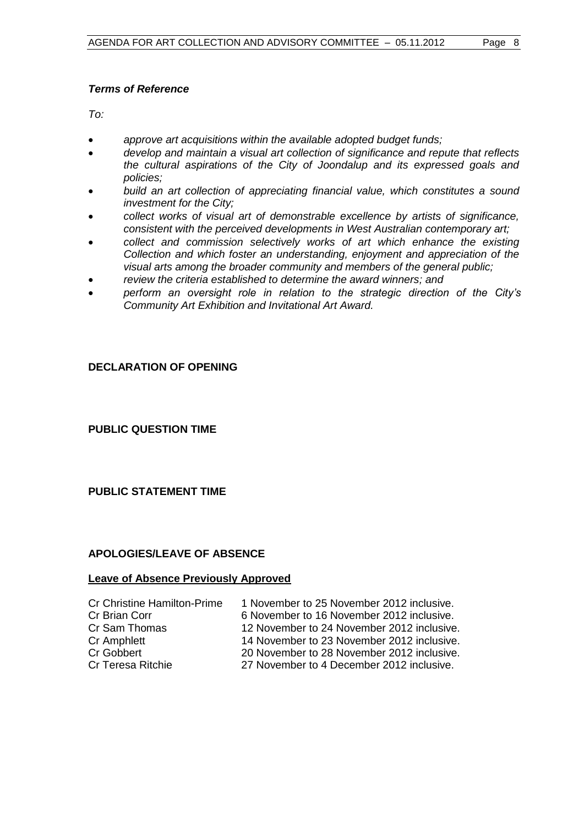# *Terms of Reference*

*To:*

- *approve art acquisitions within the available adopted budget funds;*
- *develop and maintain a visual art collection of significance and repute that reflects the cultural aspirations of the City of Joondalup and its expressed goals and policies;*
- *build an art collection of appreciating financial value, which constitutes a sound investment for the City;*
- *collect works of visual art of demonstrable excellence by artists of significance, consistent with the perceived developments in West Australian contemporary art;*
- *collect and commission selectively works of art which enhance the existing Collection and which foster an understanding, enjoyment and appreciation of the visual arts among the broader community and members of the general public;*
- *review the criteria established to determine the award winners; and*
- *perform an oversight role in relation to the strategic direction of the City's Community Art Exhibition and Invitational Art Award.*

# <span id="page-7-0"></span>**DECLARATION OF OPENING**

<span id="page-7-1"></span>**PUBLIC QUESTION TIME**

# <span id="page-7-2"></span>**PUBLIC STATEMENT TIME**

# <span id="page-7-3"></span>**APOLOGIES/LEAVE OF ABSENCE**

# **Leave of Absence Previously Approved**

| <b>Cr Christine Hamilton-Prime</b> | 1 November to 25 November 2012 inclusive.  |
|------------------------------------|--------------------------------------------|
| Cr Brian Corr                      | 6 November to 16 November 2012 inclusive.  |
| Cr Sam Thomas                      | 12 November to 24 November 2012 inclusive. |
| Cr Amphlett                        | 14 November to 23 November 2012 inclusive. |
| Cr Gobbert                         | 20 November to 28 November 2012 inclusive. |
| Cr Teresa Ritchie                  | 27 November to 4 December 2012 inclusive.  |
|                                    |                                            |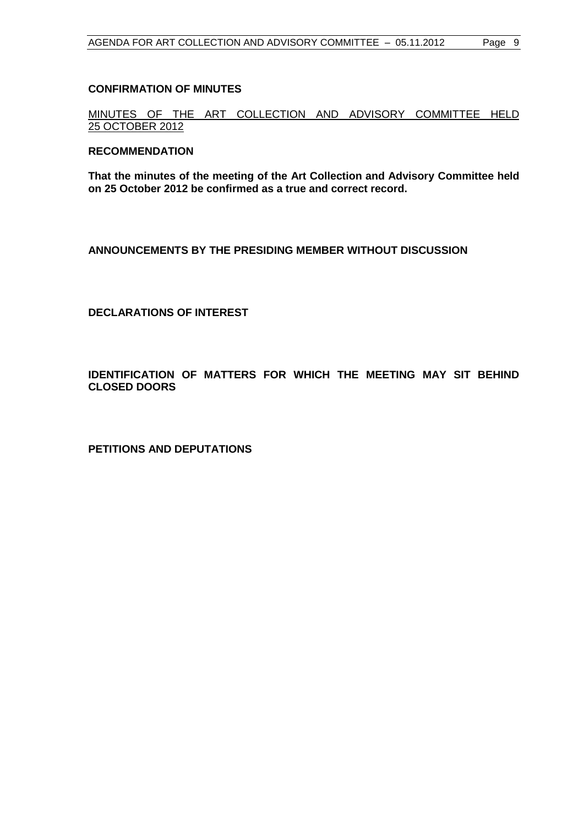#### <span id="page-8-0"></span>**CONFIRMATION OF MINUTES**

MINUTES OF THE ART COLLECTION AND ADVISORY COMMITTEE HELD 25 OCTOBER 2012

#### **RECOMMENDATION**

**That the minutes of the meeting of the Art Collection and Advisory Committee held on 25 October 2012 be confirmed as a true and correct record.**

<span id="page-8-1"></span>**ANNOUNCEMENTS BY THE PRESIDING MEMBER WITHOUT DISCUSSION**

<span id="page-8-2"></span>**DECLARATIONS OF INTEREST**

<span id="page-8-3"></span>**IDENTIFICATION OF MATTERS FOR WHICH THE MEETING MAY SIT BEHIND CLOSED DOORS**

<span id="page-8-4"></span>**PETITIONS AND DEPUTATIONS**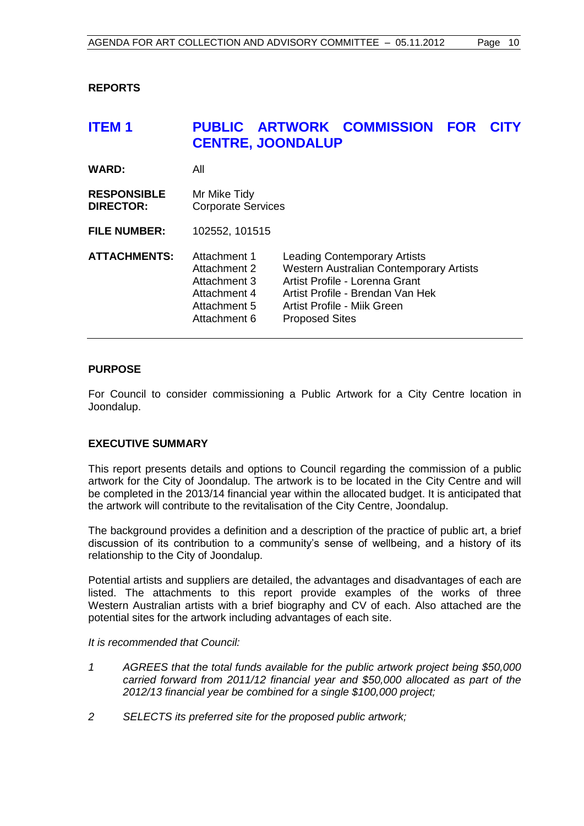# <span id="page-9-0"></span>**REPORTS**

# <span id="page-9-1"></span>**ITEM 1 PUBLIC ARTWORK COMMISSION FOR CITY CENTRE, JOONDALUP**

| WARD:                                  | All                                                                                          |                                                                                                                                                                                                                     |
|----------------------------------------|----------------------------------------------------------------------------------------------|---------------------------------------------------------------------------------------------------------------------------------------------------------------------------------------------------------------------|
| <b>RESPONSIBLE</b><br><b>DIRECTOR:</b> | Mr Mike Tidy<br><b>Corporate Services</b>                                                    |                                                                                                                                                                                                                     |
| <b>FILE NUMBER:</b>                    | 102552, 101515                                                                               |                                                                                                                                                                                                                     |
| ATTACHMENTS:                           | Attachment 1<br>Attachment 2<br>Attachment 3<br>Attachment 4<br>Attachment 5<br>Attachment 6 | <b>Leading Contemporary Artists</b><br><b>Western Australian Contemporary Artists</b><br>Artist Profile - Lorenna Grant<br>Artist Profile - Brendan Van Hek<br>Artist Profile - Mijk Green<br><b>Proposed Sites</b> |

#### **PURPOSE**

For Council to consider commissioning a Public Artwork for a City Centre location in Joondalup.

#### **EXECUTIVE SUMMARY**

This report presents details and options to Council regarding the commission of a public artwork for the City of Joondalup. The artwork is to be located in the City Centre and will be completed in the 2013/14 financial year within the allocated budget. It is anticipated that the artwork will contribute to the revitalisation of the City Centre, Joondalup.

The background provides a definition and a description of the practice of public art, a brief discussion of its contribution to a community's sense of wellbeing, and a history of its relationship to the City of Joondalup.

Potential artists and suppliers are detailed, the advantages and disadvantages of each are listed. The attachments to this report provide examples of the works of three Western Australian artists with a brief biography and CV of each. Also attached are the potential sites for the artwork including advantages of each site.

#### *It is recommended that Council:*

- *1 AGREES that the total funds available for the public artwork project being \$50,000 carried forward from 2011/12 financial year and \$50,000 allocated as part of the 2012/13 financial year be combined for a single \$100,000 project;*
- *2 SELECTS its preferred site for the proposed public artwork;*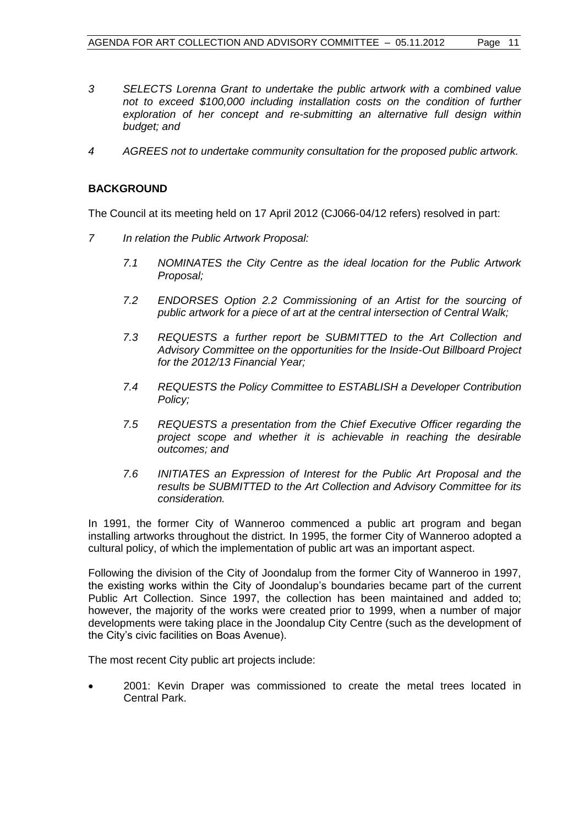- *3 SELECTS Lorenna Grant to undertake the public artwork with a combined value not to exceed \$100,000 including installation costs on the condition of further exploration of her concept and re-submitting an alternative full design within budget; and*
- *4 AGREES not to undertake community consultation for the proposed public artwork.*

# **BACKGROUND**

The Council at its meeting held on 17 April 2012 (CJ066-04/12 refers) resolved in part:

- *7 In relation the Public Artwork Proposal:*
	- *7.1 NOMINATES the City Centre as the ideal location for the Public Artwork Proposal;*
	- *7.2 ENDORSES Option 2.2 Commissioning of an Artist for the sourcing of public artwork for a piece of art at the central intersection of Central Walk;*
	- *7.3 REQUESTS a further report be SUBMITTED to the Art Collection and Advisory Committee on the opportunities for the Inside-Out Billboard Project for the 2012/13 Financial Year;*
	- *7.4 REQUESTS the Policy Committee to ESTABLISH a Developer Contribution Policy;*
	- *7.5 REQUESTS a presentation from the Chief Executive Officer regarding the project scope and whether it is achievable in reaching the desirable outcomes; and*
	- *7.6 INITIATES an Expression of Interest for the Public Art Proposal and the results be SUBMITTED to the Art Collection and Advisory Committee for its consideration.*

In 1991, the former City of Wanneroo commenced a public art program and began installing artworks throughout the district. In 1995, the former City of Wanneroo adopted a cultural policy, of which the implementation of public art was an important aspect.

Following the division of the City of Joondalup from the former City of Wanneroo in 1997, the existing works within the City of Joondalup's boundaries became part of the current Public Art Collection. Since 1997, the collection has been maintained and added to; however, the majority of the works were created prior to 1999, when a number of major developments were taking place in the Joondalup City Centre (such as the development of the City's civic facilities on Boas Avenue).

The most recent City public art projects include:

 2001: Kevin Draper was commissioned to create the metal trees located in Central Park.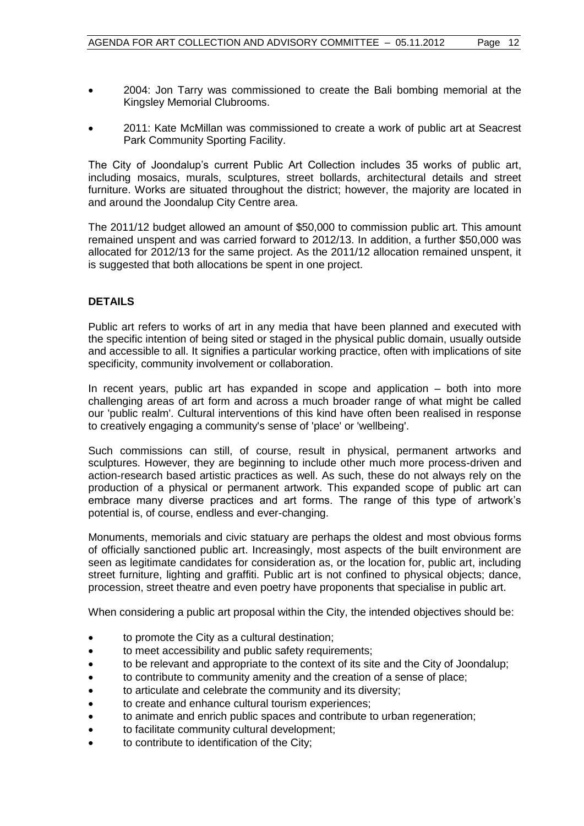- 2004: Jon Tarry was commissioned to create the Bali bombing memorial at the Kingsley Memorial Clubrooms.
- 2011: Kate McMillan was commissioned to create a work of public art at Seacrest Park Community Sporting Facility.

The City of Joondalup's current Public Art Collection includes 35 works of public art, including mosaics, murals, sculptures, street bollards, architectural details and street furniture. Works are situated throughout the district; however, the majority are located in and around the Joondalup City Centre area.

The 2011/12 budget allowed an amount of \$50,000 to commission public art. This amount remained unspent and was carried forward to 2012/13. In addition, a further \$50,000 was allocated for 2012/13 for the same project. As the 2011/12 allocation remained unspent, it is suggested that both allocations be spent in one project.

# **DETAILS**

Public art refers to works of art in any media that have been planned and executed with the specific intention of being sited or staged in the physical public domain, usually outside and accessible to all. It signifies a particular working practice, often with implications of site specificity, community involvement or collaboration.

In recent years, public art has expanded in scope and application – both into more challenging areas of art form and across a much broader range of what might be called our 'public realm'. Cultural interventions of this kind have often been realised in response to creatively engaging a community's sense of 'place' or 'wellbeing'.

Such commissions can still, of course, result in physical, permanent artworks and sculptures. However, they are beginning to include other much more process-driven and action-research based artistic practices as well. As such, these do not always rely on the production of a physical or permanent artwork. This expanded scope of public art can embrace many diverse practices and art forms. The range of this type of artwork's potential is, of course, endless and ever-changing.

Monuments, memorials and civic statuary are perhaps the oldest and most obvious forms of officially sanctioned public art. Increasingly, most aspects of the built environment are seen as legitimate candidates for consideration as, or the location for, public art, including street furniture, lighting and graffiti. Public art is not confined to physical objects; dance, procession, street theatre and even poetry have proponents that specialise in public art.

When considering a public art proposal within the City, the intended objectives should be:

- to promote the City as a cultural destination;
- to meet accessibility and public safety requirements;
- to be relevant and appropriate to the context of its site and the City of Joondalup;
- to contribute to community amenity and the creation of a sense of place;
- to articulate and celebrate the community and its diversity;
- to create and enhance cultural tourism experiences;
- to animate and enrich public spaces and contribute to urban regeneration;
- to facilitate community cultural development;
- to contribute to identification of the City;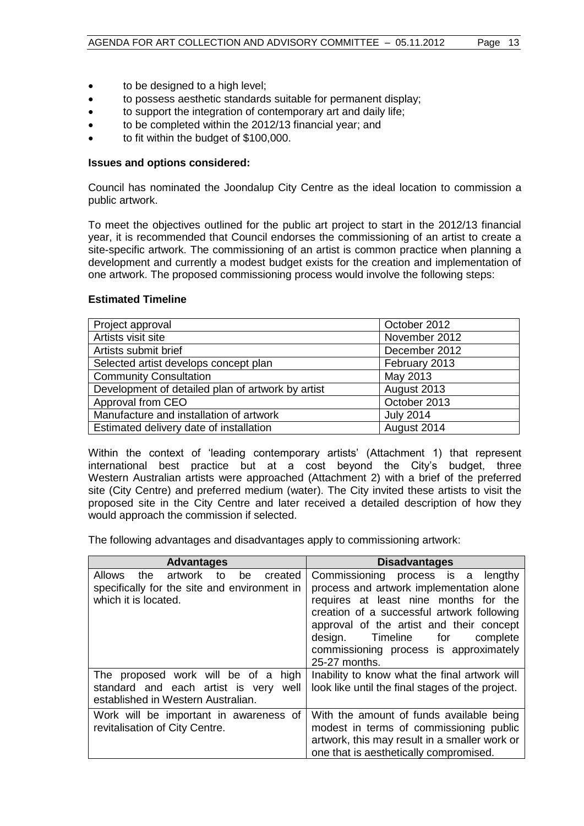- to be designed to a high level;
- to possess aesthetic standards suitable for permanent display;
- to support the integration of contemporary art and daily life;
- to be completed within the 2012/13 financial year; and
- to fit within the budget of \$100,000.

# **Issues and options considered:**

Council has nominated the Joondalup City Centre as the ideal location to commission a public artwork.

To meet the objectives outlined for the public art project to start in the 2012/13 financial year, it is recommended that Council endorses the commissioning of an artist to create a site-specific artwork. The commissioning of an artist is common practice when planning a development and currently a modest budget exists for the creation and implementation of one artwork. The proposed commissioning process would involve the following steps:

# **Estimated Timeline**

| Project approval                                  | October 2012     |
|---------------------------------------------------|------------------|
| Artists visit site                                | November 2012    |
| Artists submit brief                              | December 2012    |
| Selected artist develops concept plan             | February 2013    |
| <b>Community Consultation</b>                     | May 2013         |
| Development of detailed plan of artwork by artist | August 2013      |
| Approval from CEO                                 | October 2013     |
| Manufacture and installation of artwork           | <b>July 2014</b> |
| Estimated delivery date of installation           | August 2014      |

Within the context of 'leading contemporary artists' (Attachment 1) that represent international best practice but at a cost beyond the City's budget, three Western Australian artists were approached (Attachment 2) with a brief of the preferred site (City Centre) and preferred medium (water). The City invited these artists to visit the proposed site in the City Centre and later received a detailed description of how they would approach the commission if selected.

The following advantages and disadvantages apply to commissioning artwork:

| <b>Advantages</b>                                                                                                              | <b>Disadvantages</b>                                                                                                                                                                                                                                                                               |  |
|--------------------------------------------------------------------------------------------------------------------------------|----------------------------------------------------------------------------------------------------------------------------------------------------------------------------------------------------------------------------------------------------------------------------------------------------|--|
| <b>Allows</b><br>artwork<br>created<br>the<br>to<br>be<br>specifically for the site and environment in<br>which it is located. | Commissioning process is a<br>lengthy<br>process and artwork implementation alone<br>requires at least nine months for the<br>creation of a successful artwork following<br>approval of the artist and their concept<br>design. Timeline for<br>complete<br>commissioning process is approximately |  |
| The proposed work will be of a high<br>standard and each artist is very well<br>established in Western Australian.             | 25-27 months.<br>Inability to know what the final artwork will<br>look like until the final stages of the project.                                                                                                                                                                                 |  |
| Work will be important in awareness of<br>revitalisation of City Centre.                                                       | With the amount of funds available being<br>modest in terms of commissioning public<br>artwork, this may result in a smaller work or<br>one that is aesthetically compromised.                                                                                                                     |  |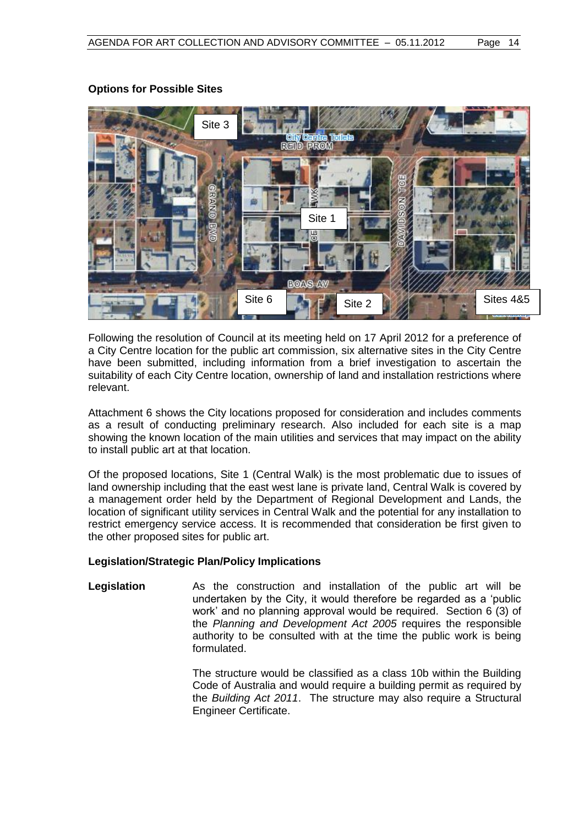

# **Options for Possible Sites**

Following the resolution of Council at its meeting held on 17 April 2012 for a preference of a City Centre location for the public art commission, six alternative sites in the City Centre have been submitted, including information from a brief investigation to ascertain the suitability of each City Centre location, ownership of land and installation restrictions where relevant.

Attachment 6 shows the City locations proposed for consideration and includes comments as a result of conducting preliminary research. Also included for each site is a map showing the known location of the main utilities and services that may impact on the ability to install public art at that location.

Of the proposed locations, Site 1 (Central Walk) is the most problematic due to issues of land ownership including that the east west lane is private land, Central Walk is covered by a management order held by the Department of Regional Development and Lands, the location of significant utility services in Central Walk and the potential for any installation to restrict emergency service access. It is recommended that consideration be first given to the other proposed sites for public art.

# **Legislation/Strategic Plan/Policy Implications**

**Legislation** As the construction and installation of the public art will be undertaken by the City, it would therefore be regarded as a 'public work' and no planning approval would be required. Section 6 (3) of the *Planning and Development Act 2005* requires the responsible authority to be consulted with at the time the public work is being formulated.

> The structure would be classified as a class 10b within the Building Code of Australia and would require a building permit as required by the *Building Act 2011*. The structure may also require a Structural Engineer Certificate.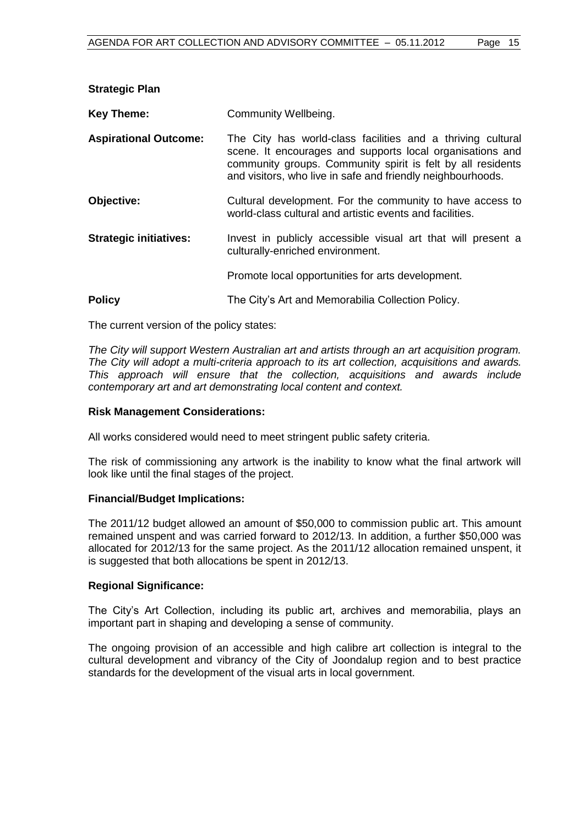| Community Wellbeing.                                                                                                                                                                                                                                   |  |
|--------------------------------------------------------------------------------------------------------------------------------------------------------------------------------------------------------------------------------------------------------|--|
| The City has world-class facilities and a thriving cultural<br>scene. It encourages and supports local organisations and<br>community groups. Community spirit is felt by all residents<br>and visitors, who live in safe and friendly neighbourhoods. |  |
| Cultural development. For the community to have access to<br>world-class cultural and artistic events and facilities.                                                                                                                                  |  |
| Invest in publicly accessible visual art that will present a<br>culturally-enriched environment.                                                                                                                                                       |  |
| Promote local opportunities for arts development.                                                                                                                                                                                                      |  |
| The City's Art and Memorabilia Collection Policy.                                                                                                                                                                                                      |  |
|                                                                                                                                                                                                                                                        |  |

The current version of the policy states:

*The City will support Western Australian art and artists through an art acquisition program. The City will adopt a multi-criteria approach to its art collection, acquisitions and awards. This approach will ensure that the collection, acquisitions and awards include contemporary art and art demonstrating local content and context.*

# **Risk Management Considerations:**

All works considered would need to meet stringent public safety criteria.

The risk of commissioning any artwork is the inability to know what the final artwork will look like until the final stages of the project.

#### **Financial/Budget Implications:**

The 2011/12 budget allowed an amount of \$50,000 to commission public art. This amount remained unspent and was carried forward to 2012/13. In addition, a further \$50,000 was allocated for 2012/13 for the same project. As the 2011/12 allocation remained unspent, it is suggested that both allocations be spent in 2012/13.

#### **Regional Significance:**

The City's Art Collection, including its public art, archives and memorabilia, plays an important part in shaping and developing a sense of community.

The ongoing provision of an accessible and high calibre art collection is integral to the cultural development and vibrancy of the City of Joondalup region and to best practice standards for the development of the visual arts in local government.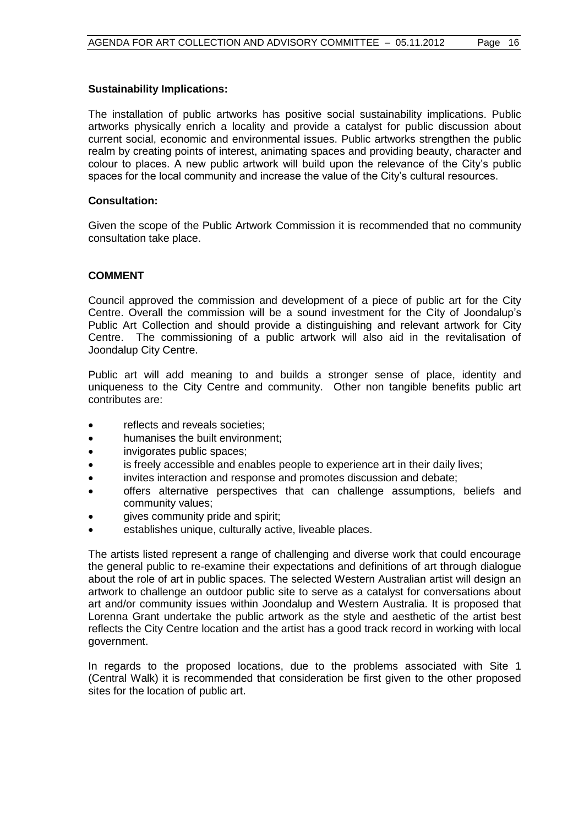# **Sustainability Implications:**

The installation of public artworks has positive social sustainability implications. Public artworks physically enrich a locality and provide a catalyst for public discussion about current social, economic and environmental issues. Public artworks strengthen the public realm by creating points of interest, animating spaces and providing beauty, character and colour to places. A new public artwork will build upon the relevance of the City's public spaces for the local community and increase the value of the City's cultural resources.

### **Consultation:**

Given the scope of the Public Artwork Commission it is recommended that no community consultation take place.

# **COMMENT**

Council approved the commission and development of a piece of public art for the City Centre. Overall the commission will be a sound investment for the City of Joondalup's Public Art Collection and should provide a distinguishing and relevant artwork for City Centre. The commissioning of a public artwork will also aid in the revitalisation of Joondalup City Centre.

Public art will add meaning to and builds a stronger sense of place, identity and uniqueness to the City Centre and community. Other non tangible benefits public art contributes are:

- reflects and reveals societies:
- humanises the built environment;
- invigorates public spaces;
- is freely accessible and enables people to experience art in their daily lives;
- invites interaction and response and promotes discussion and debate;
- offers alternative perspectives that can challenge assumptions, beliefs and community values;
- gives community pride and spirit;
- establishes unique, culturally active, liveable places.

The artists listed represent a range of challenging and diverse work that could encourage the general public to re-examine their expectations and definitions of art through dialogue about the role of art in public spaces. The selected Western Australian artist will design an artwork to challenge an outdoor public site to serve as a catalyst for conversations about art and/or community issues within Joondalup and Western Australia. It is proposed that Lorenna Grant undertake the public artwork as the style and aesthetic of the artist best reflects the City Centre location and the artist has a good track record in working with local government.

In regards to the proposed locations, due to the problems associated with Site 1 (Central Walk) it is recommended that consideration be first given to the other proposed sites for the location of public art.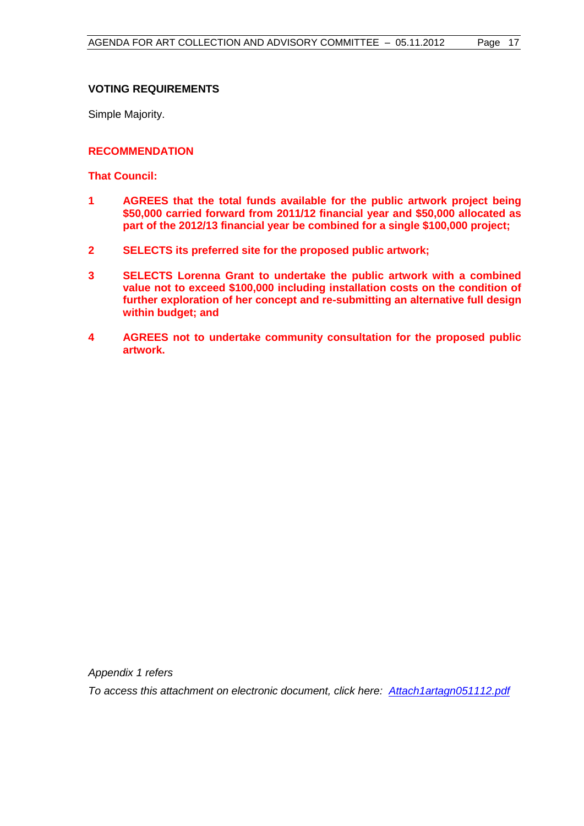# **VOTING REQUIREMENTS**

Simple Majority.

### **RECOMMENDATION**

**That Council:**

- **1 AGREES that the total funds available for the public artwork project being \$50,000 carried forward from 2011/12 financial year and \$50,000 allocated as part of the 2012/13 financial year be combined for a single \$100,000 project;**
- **2 SELECTS its preferred site for the proposed public artwork;**
- **3 SELECTS Lorenna Grant to undertake the public artwork with a combined value not to exceed \$100,000 including installation costs on the condition of further exploration of her concept and re-submitting an alternative full design within budget; and**
- **4 AGREES not to undertake community consultation for the proposed public artwork.**

*Appendix 1 refers*

*To access this attachment on electronic document, click her[e:](Attach1artagn051112.pdf) [Attach1artagn051112.pdf](Attachments/Attach1artagn051112.pdf)*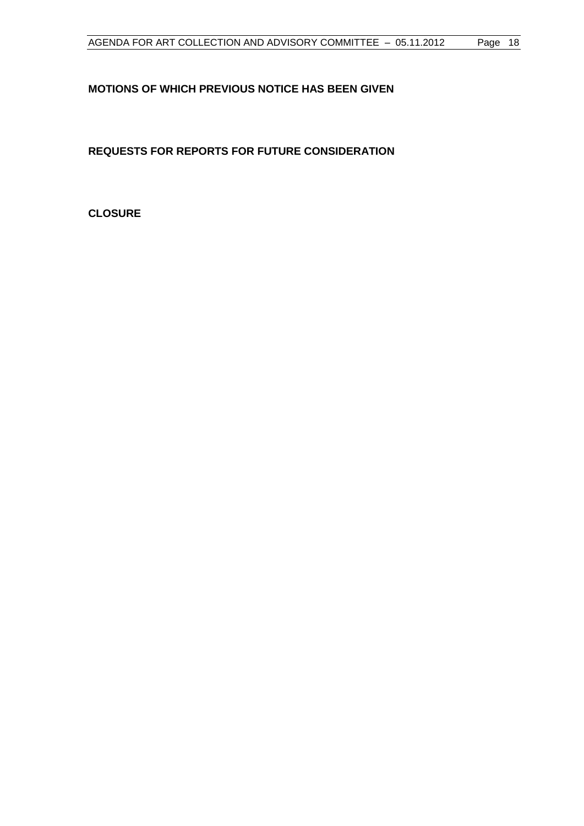# <span id="page-17-0"></span>**MOTIONS OF WHICH PREVIOUS NOTICE HAS BEEN GIVEN**

<span id="page-17-1"></span>**REQUESTS FOR REPORTS FOR FUTURE CONSIDERATION**

<span id="page-17-2"></span>**CLOSURE**